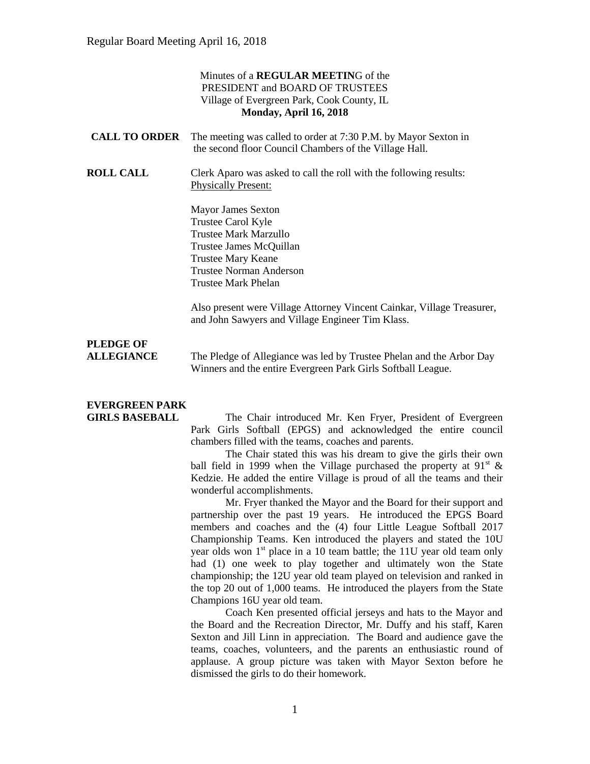#### Minutes of a **REGULAR MEETIN**G of the PRESIDENT and BOARD OF TRUSTEES Village of Evergreen Park, Cook County, IL **Monday, April 16, 2018**

| <b>CALL TO ORDER</b> The meeting was called to order at 7:30 P.M. by Mayor Sexton in |
|--------------------------------------------------------------------------------------|
| the second floor Council Chambers of the Village Hall.                               |

**ROLL CALL** Clerk Aparo was asked to call the roll with the following results: Physically Present:

> Mayor James Sexton Trustee Carol Kyle Trustee Mark Marzullo Trustee James McQuillan Trustee Mary Keane Trustee Norman Anderson Trustee Mark Phelan

Also present were Village Attorney Vincent Cainkar, Village Treasurer, and John Sawyers and Village Engineer Tim Klass.

## **PLEDGE OF**

**ALLEGIANCE** The Pledge of Allegiance was led by Trustee Phelan and the Arbor Day Winners and the entire Evergreen Park Girls Softball League.

# **EVERGREEN PARK**

**GIRLS BASEBALL** The Chair introduced Mr. Ken Fryer, President of Evergreen Park Girls Softball (EPGS) and acknowledged the entire council chambers filled with the teams, coaches and parents.

> The Chair stated this was his dream to give the girls their own ball field in 1999 when the Village purchased the property at  $91<sup>st</sup>$  & Kedzie. He added the entire Village is proud of all the teams and their wonderful accomplishments.

> Mr. Fryer thanked the Mayor and the Board for their support and partnership over the past 19 years. He introduced the EPGS Board members and coaches and the (4) four Little League Softball 2017 Championship Teams. Ken introduced the players and stated the 10U year olds won  $1<sup>st</sup>$  place in a 10 team battle; the 11U year old team only had (1) one week to play together and ultimately won the State championship; the 12U year old team played on television and ranked in the top 20 out of 1,000 teams. He introduced the players from the State Champions 16U year old team.

> Coach Ken presented official jerseys and hats to the Mayor and the Board and the Recreation Director, Mr. Duffy and his staff, Karen Sexton and Jill Linn in appreciation. The Board and audience gave the teams, coaches, volunteers, and the parents an enthusiastic round of applause. A group picture was taken with Mayor Sexton before he dismissed the girls to do their homework.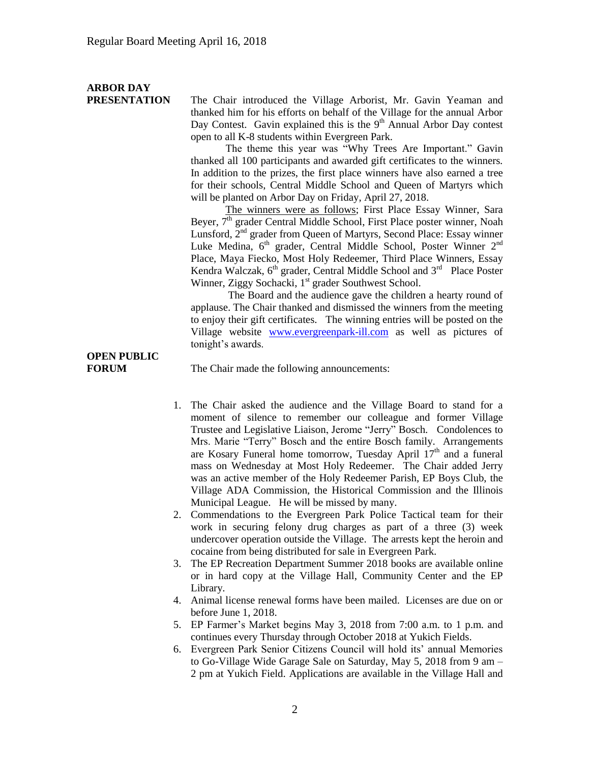# **ARBOR DAY**

**PRESENTATION** The Chair introduced the Village Arborist, Mr. Gavin Yeaman and thanked him for his efforts on behalf of the Village for the annual Arbor Day Contest. Gavin explained this is the  $9<sup>th</sup>$  Annual Arbor Day contest open to all K-8 students within Evergreen Park.

The theme this year was "Why Trees Are Important." Gavin thanked all 100 participants and awarded gift certificates to the winners. In addition to the prizes, the first place winners have also earned a tree for their schools, Central Middle School and Queen of Martyrs which will be planted on Arbor Day on Friday, April 27, 2018.

The winners were as follows; First Place Essay Winner, Sara Beyer, 7<sup>th</sup> grader Central Middle School, First Place poster winner, Noah Lunsford, 2<sup>nd</sup> grader from Queen of Martyrs, Second Place: Essay winner Luke Medina,  $6<sup>th</sup>$  grader, Central Middle School, Poster Winner  $2<sup>nd</sup>$ Place, Maya Fiecko, Most Holy Redeemer, Third Place Winners, Essay Kendra Walczak,  $6<sup>th</sup>$  grader, Central Middle School and  $3<sup>rd</sup>$  Place Poster Winner, Ziggy Sochacki, 1<sup>st</sup> grader Southwest School.

The Board and the audience gave the children a hearty round of applause. The Chair thanked and dismissed the winners from the meeting to enjoy their gift certificates. The winning entries will be posted on the Village website [www.evergreenpark-ill.com](http://www.evergreenpark-ill.com/) as well as pictures of tonight's awards.

# **OPEN PUBLIC**

**FORUM** The Chair made the following announcements:

- 1. The Chair asked the audience and the Village Board to stand for a moment of silence to remember our colleague and former Village Trustee and Legislative Liaison, Jerome "Jerry" Bosch. Condolences to Mrs. Marie "Terry" Bosch and the entire Bosch family. Arrangements are Kosary Funeral home tomorrow, Tuesday April  $17<sup>th</sup>$  and a funeral mass on Wednesday at Most Holy Redeemer. The Chair added Jerry was an active member of the Holy Redeemer Parish, EP Boys Club, the Village ADA Commission, the Historical Commission and the Illinois Municipal League. He will be missed by many.
- 2. Commendations to the Evergreen Park Police Tactical team for their work in securing felony drug charges as part of a three (3) week undercover operation outside the Village. The arrests kept the heroin and cocaine from being distributed for sale in Evergreen Park.
- 3. The EP Recreation Department Summer 2018 books are available online or in hard copy at the Village Hall, Community Center and the EP Library.
- 4. Animal license renewal forms have been mailed. Licenses are due on or before June 1, 2018.
- 5. EP Farmer's Market begins May 3, 2018 from 7:00 a.m. to 1 p.m. and continues every Thursday through October 2018 at Yukich Fields.
- 6. Evergreen Park Senior Citizens Council will hold its' annual Memories to Go-Village Wide Garage Sale on Saturday, May 5, 2018 from 9 am – 2 pm at Yukich Field. Applications are available in the Village Hall and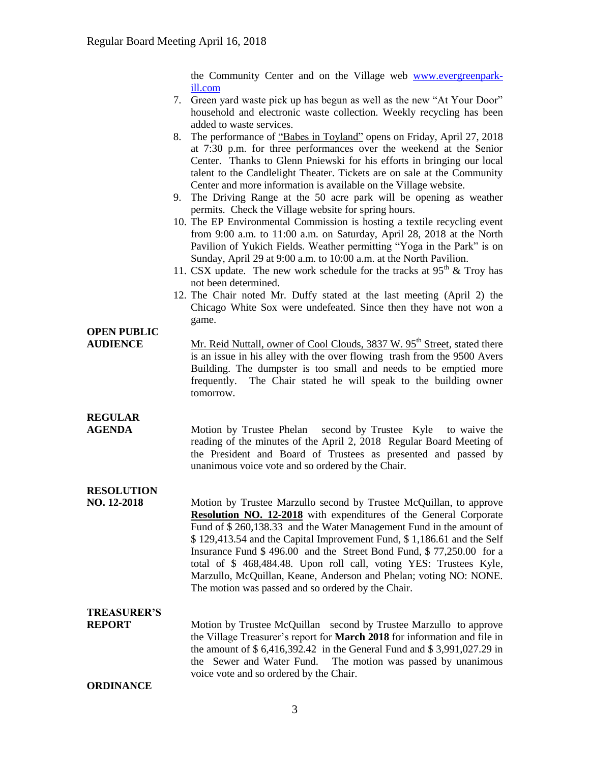the Community Center and on the Village web [www.evergreenpark](http://www.evergreenpark-ill.com/)[ill.com](http://www.evergreenpark-ill.com/)

- 7. Green yard waste pick up has begun as well as the new "At Your Door" household and electronic waste collection. Weekly recycling has been added to waste services.
- 8. The performance of "Babes in Toyland" opens on Friday, April 27, 2018 at 7:30 p.m. for three performances over the weekend at the Senior Center. Thanks to Glenn Pniewski for his efforts in bringing our local talent to the Candlelight Theater. Tickets are on sale at the Community Center and more information is available on the Village website.
- 9. The Driving Range at the 50 acre park will be opening as weather permits. Check the Village website for spring hours.
- 10. The EP Environmental Commission is hosting a textile recycling event from 9:00 a.m. to 11:00 a.m. on Saturday, April 28, 2018 at the North Pavilion of Yukich Fields. Weather permitting "Yoga in the Park" is on Sunday, April 29 at 9:00 a.m. to 10:00 a.m. at the North Pavilion.
- 11. CSX update. The new work schedule for the tracks at  $95<sup>th</sup>$  & Troy has not been determined.
- 12. The Chair noted Mr. Duffy stated at the last meeting (April 2) the Chicago White Sox were undefeated. Since then they have not won a game.

## **OPEN PUBLIC**

**AUDIENCE** Mr. Reid Nuttall, owner of Cool Clouds, 3837 W. 95<sup>th</sup> Street, stated there is an issue in his alley with the over flowing trash from the 9500 Avers Building. The dumpster is too small and needs to be emptied more frequently. The Chair stated he will speak to the building owner tomorrow.

**REGULAR** 

**AGENDA** Motion by Trustee Phelan second by Trustee Kyle to waive the reading of the minutes of the April 2, 2018 Regular Board Meeting of the President and Board of Trustees as presented and passed by unanimous voice vote and so ordered by the Chair.

### **RESOLUTION**

**NO. 12-2018** Motion by Trustee Marzullo second by Trustee McQuillan, to approve **Resolution NO. 12-2018** with expenditures of the General Corporate Fund of \$ 260,138.33 and the Water Management Fund in the amount of \$ 129,413.54 and the Capital Improvement Fund, \$ 1,186.61 and the Self Insurance Fund \$ 496.00 and the Street Bond Fund, \$ 77,250.00 for a total of \$ 468,484.48. Upon roll call, voting YES: Trustees Kyle, Marzullo, McQuillan, Keane, Anderson and Phelan; voting NO: NONE. The motion was passed and so ordered by the Chair.

# **TREASURER'S**

**REPORT** Motion by Trustee McQuillan second by Trustee Marzullo to approve the Village Treasurer's report for **March 2018** for information and file in the amount of \$ 6,416,392.42 in the General Fund and \$ 3,991,027.29 in the Sewer and Water Fund. The motion was passed by unanimous voice vote and so ordered by the Chair.

**ORDINANCE**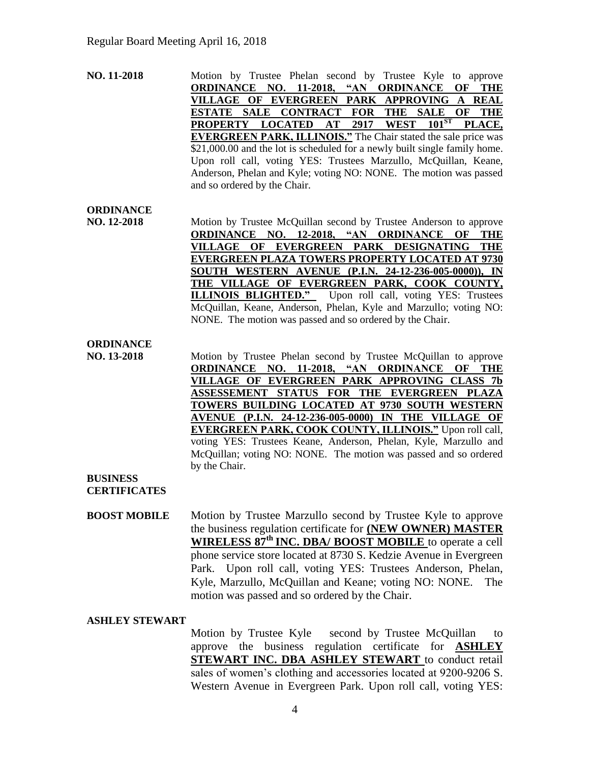**NO. 11-2018** Motion by Trustee Phelan second by Trustee Kyle to approve **ORDINANCE NO. 11-2018, "AN ORDINANCE OF THE VILLAGE OF EVERGREEN PARK APPROVING A REAL ESTATE SALE CONTRACT FOR THE SALE OF THE PROPERTY LOCATED AT 2917 WEST 101<sup>ST</sup> PLACE. PROPERTY LOCATED AT 2917 WEST 101ST PLACE, EVERGREEN PARK, ILLINOIS."** The Chair stated the sale price was \$21,000.00 and the lot is scheduled for a newly built single family home. Upon roll call, voting YES: Trustees Marzullo, McQuillan, Keane, Anderson, Phelan and Kyle; voting NO: NONE. The motion was passed and so ordered by the Chair.

#### **ORDINANCE**

**NO. 12-2018** Motion by Trustee McQuillan second by Trustee Anderson to approve **ORDINANCE NO. 12-2018, "AN ORDINANCE OF THE VILLAGE OF EVERGREEN PARK DESIGNATING THE EVERGREEN PLAZA TOWERS PROPERTY LOCATED AT 9730 SOUTH WESTERN AVENUE (P.I.N. 24-12-236-005-0000)), IN THE VILLAGE OF EVERGREEN PARK, COOK COUNTY, ILLINOIS BLIGHTED."** Upon roll call, voting YES: Trustees McQuillan, Keane, Anderson, Phelan, Kyle and Marzullo; voting NO: NONE. The motion was passed and so ordered by the Chair.

#### **ORDINANCE**

**NO. 13-2018** Motion by Trustee Phelan second by Trustee McQuillan to approve **ORDINANCE NO. 11-2018, "AN ORDINANCE OF THE VILLAGE OF EVERGREEN PARK APPROVING CLASS 7b ASSESSEMENT STATUS FOR THE EVERGREEN PLAZA TOWERS BUILDING LOCATED AT 9730 SOUTH WESTERN AVENUE (P.I.N. 24-12-236-005-0000) IN THE VILLAGE OF EVERGREEN PARK, COOK COUNTY, ILLINOIS."** Upon roll call, voting YES: Trustees Keane, Anderson, Phelan, Kyle, Marzullo and McQuillan; voting NO: NONE. The motion was passed and so ordered by the Chair.

### **BUSINESS**

**CERTIFICATES**

**BOOST MOBILE** Motion by Trustee Marzullo second by Trustee Kyle to approve the business regulation certificate for **(NEW OWNER) MASTER WIRELESS 87th INC. DBA/ BOOST MOBILE** to operate a cell phone service store located at 8730 S. Kedzie Avenue in Evergreen Park. Upon roll call, voting YES: Trustees Anderson, Phelan, Kyle, Marzullo, McQuillan and Keane; voting NO: NONE. The motion was passed and so ordered by the Chair.

#### **ASHLEY STEWART**

Motion by Trustee Kyle second by Trustee McQuillan to approve the business regulation certificate for **ASHLEY STEWART INC. DBA ASHLEY STEWART** to conduct retail sales of women's clothing and accessories located at 9200-9206 S. Western Avenue in Evergreen Park. Upon roll call, voting YES: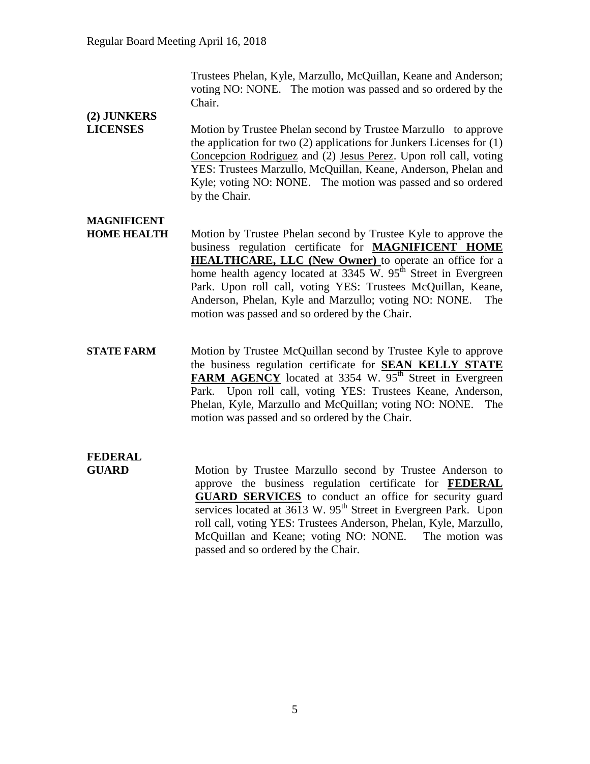Trustees Phelan, Kyle, Marzullo, McQuillan, Keane and Anderson; voting NO: NONE. The motion was passed and so ordered by the Chair.

## **(2) JUNKERS**

**LICENSES** Motion by Trustee Phelan second by Trustee Marzullo to approve the application for two  $(2)$  applications for Junkers Licenses for  $(1)$ Concepcion Rodriguez and (2) Jesus Perez. Upon roll call, voting YES: Trustees Marzullo, McQuillan, Keane, Anderson, Phelan and Kyle; voting NO: NONE. The motion was passed and so ordered by the Chair.

### **MAGNIFICENT**

- **HOME HEALTH** Motion by Trustee Phelan second by Trustee Kyle to approve the business regulation certificate for **MAGNIFICENT HOME HEALTHCARE, LLC (New Owner)** to operate an office for a home health agency located at  $3345$  W.  $95<sup>th</sup>$  Street in Evergreen Park. Upon roll call, voting YES: Trustees McQuillan, Keane, Anderson, Phelan, Kyle and Marzullo; voting NO: NONE. The motion was passed and so ordered by the Chair.
- **STATE FARM** Motion by Trustee McQuillan second by Trustee Kyle to approve the business regulation certificate for **SEAN KELLY STATE FARM AGENCY** located at 3354 W. 95<sup>th</sup> Street in Evergreen Park. Upon roll call, voting YES: Trustees Keane, Anderson, Phelan, Kyle, Marzullo and McQuillan; voting NO: NONE. The motion was passed and so ordered by the Chair.

## **FEDERAL**

**GUARD** Motion by Trustee Marzullo second by Trustee Anderson to approve the business regulation certificate for **FEDERAL GUARD SERVICES** to conduct an office for security guard services located at 3613 W. 95<sup>th</sup> Street in Evergreen Park. Upon roll call, voting YES: Trustees Anderson, Phelan, Kyle, Marzullo, McQuillan and Keane; voting NO: NONE. The motion was passed and so ordered by the Chair.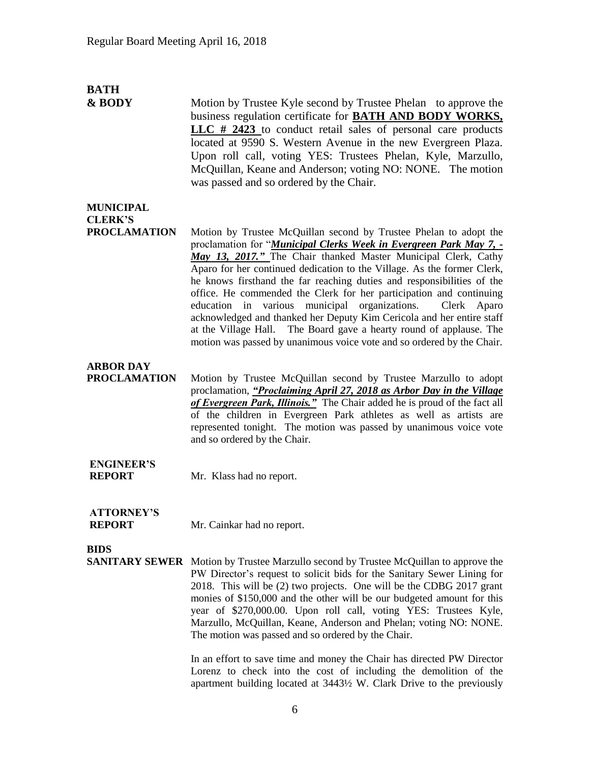# **BATH**

**& BODY** Motion by Trustee Kyle second by Trustee Phelan to approve the business regulation certificate for **BATH AND BODY WORKS, LLC # 2423** to conduct retail sales of personal care products located at 9590 S. Western Avenue in the new Evergreen Plaza. Upon roll call, voting YES: Trustees Phelan, Kyle, Marzullo, McQuillan, Keane and Anderson; voting NO: NONE. The motion was passed and so ordered by the Chair.

### **MUNICIPAL CLERK'S**

**PROCLAMATION** Motion by Trustee McQuillan second by Trustee Phelan to adopt the proclamation for "*Municipal Clerks Week in Evergreen Park May 7, - May 13, 2017."* The Chair thanked Master Municipal Clerk, Cathy Aparo for her continued dedication to the Village. As the former Clerk, he knows firsthand the far reaching duties and responsibilities of the office. He commended the Clerk for her participation and continuing education in various municipal organizations. Clerk Aparo acknowledged and thanked her Deputy Kim Cericola and her entire staff at the Village Hall. The Board gave a hearty round of applause. The motion was passed by unanimous voice vote and so ordered by the Chair.

### **ARBOR DAY**

**PROCLAMATION** Motion by Trustee McQuillan second by Trustee Marzullo to adopt proclamation, *"Proclaiming April 27, 2018 as Arbor Day in the Village of Evergreen Park, Illinois."* The Chair added he is proud of the fact all of the children in Evergreen Park athletes as well as artists are represented tonight. The motion was passed by unanimous voice vote and so ordered by the Chair.

## **ENGINEER'S**

**REPORT** Mr. Klass had no report.

# **ATTORNEY'S**

**REPORT** Mr. Cainkar had no report.

#### **BIDS**

**SANITARY SEWER** Motion by Trustee Marzullo second by Trustee McQuillan to approve the PW Director's request to solicit bids for the Sanitary Sewer Lining for 2018. This will be (2) two projects. One will be the CDBG 2017 grant monies of \$150,000 and the other will be our budgeted amount for this year of \$270,000.00. Upon roll call, voting YES: Trustees Kyle, Marzullo, McQuillan, Keane, Anderson and Phelan; voting NO: NONE. The motion was passed and so ordered by the Chair.

> In an effort to save time and money the Chair has directed PW Director Lorenz to check into the cost of including the demolition of the apartment building located at 3443½ W. Clark Drive to the previously